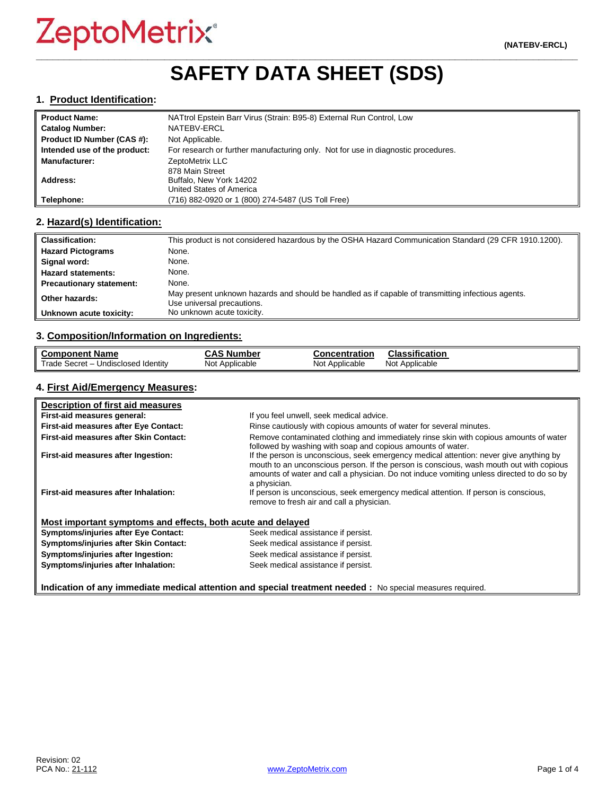## **\_\_\_\_\_\_\_\_\_\_\_\_\_\_\_\_\_\_\_\_\_\_\_\_\_\_\_\_\_\_\_\_\_\_\_\_\_\_\_\_\_\_\_\_\_\_\_\_\_\_\_\_\_\_\_\_\_\_\_\_\_\_\_\_\_\_\_\_\_\_\_\_\_\_\_\_\_\_\_\_\_\_\_\_\_\_\_\_\_\_\_\_\_\_\_\_\_ SAFETY DATA SHEET (SDS)**

#### **1. Product Identification:**

| <b>Product Name:</b>         | NATtrol Epstein Barr Virus (Strain: B95-8) External Run Control, Low              |
|------------------------------|-----------------------------------------------------------------------------------|
| <b>Catalog Number:</b>       | NATEBV-ERCL                                                                       |
| Product ID Number (CAS #):   | Not Applicable.                                                                   |
| Intended use of the product: | For research or further manufacturing only. Not for use in diagnostic procedures. |
| <b>Manufacturer:</b>         | ZeptoMetrix LLC                                                                   |
|                              | 878 Main Street                                                                   |
| Address:                     | Buffalo, New York 14202                                                           |
|                              | United States of America                                                          |
| Telephone:                   | (716) 882-0920 or 1 (800) 274-5487 (US Toll Free)                                 |

#### **2. Hazard(s) Identification:**

| <b>Classification:</b>          | This product is not considered hazardous by the OSHA Hazard Communication Standard (29 CFR 1910.1200).                           |
|---------------------------------|----------------------------------------------------------------------------------------------------------------------------------|
| <b>Hazard Pictograms</b>        | None.                                                                                                                            |
| Signal word:                    | None.                                                                                                                            |
| <b>Hazard statements:</b>       | None.                                                                                                                            |
| <b>Precautionary statement:</b> | None.                                                                                                                            |
| Other hazards:                  | May present unknown hazards and should be handled as if capable of transmitting infectious agents.<br>Use universal precautions. |
| Unknown acute toxicity:         | No unknown acute toxicity.                                                                                                       |

#### **3. Composition/Information on Ingredients:**

| <b>Component Name</b>                    | <b>CAS Number</b> | <b>Concentration</b> | <b>Classification</b> |
|------------------------------------------|-------------------|----------------------|-----------------------|
| Trade Secret - u<br>Undisclosed Identity | Not Applicable    | Not Applicable       | Not Applicable        |

#### **4. First Aid/Emergency Measures:**

| Description of first aid measures                           |                                                                                                                                                                                                                                                                                                |
|-------------------------------------------------------------|------------------------------------------------------------------------------------------------------------------------------------------------------------------------------------------------------------------------------------------------------------------------------------------------|
| First-aid measures general:                                 | If you feel unwell, seek medical advice.                                                                                                                                                                                                                                                       |
| First-aid measures after Eye Contact:                       | Rinse cautiously with copious amounts of water for several minutes.                                                                                                                                                                                                                            |
| First-aid measures after Skin Contact:                      | Remove contaminated clothing and immediately rinse skin with copious amounts of water<br>followed by washing with soap and copious amounts of water.                                                                                                                                           |
| First-aid measures after Ingestion:                         | If the person is unconscious, seek emergency medical attention: never give anything by<br>mouth to an unconscious person. If the person is conscious, wash mouth out with copious<br>amounts of water and call a physician. Do not induce vomiting unless directed to do so by<br>a physician. |
| First-aid measures after Inhalation:                        | If person is unconscious, seek emergency medical attention. If person is conscious,<br>remove to fresh air and call a physician.                                                                                                                                                               |
| Most important symptoms and effects, both acute and delayed |                                                                                                                                                                                                                                                                                                |
| <b>Symptoms/injuries after Eye Contact:</b>                 | Seek medical assistance if persist.                                                                                                                                                                                                                                                            |
| Symptoms/injuries after Skin Contact:                       | Seek medical assistance if persist.                                                                                                                                                                                                                                                            |
| Symptoms/injuries after Ingestion:                          | Seek medical assistance if persist.                                                                                                                                                                                                                                                            |
| Symptoms/injuries after Inhalation:                         | Seek medical assistance if persist.                                                                                                                                                                                                                                                            |

**Indication of any immediate medical attention and special treatment needed :** No special measures required.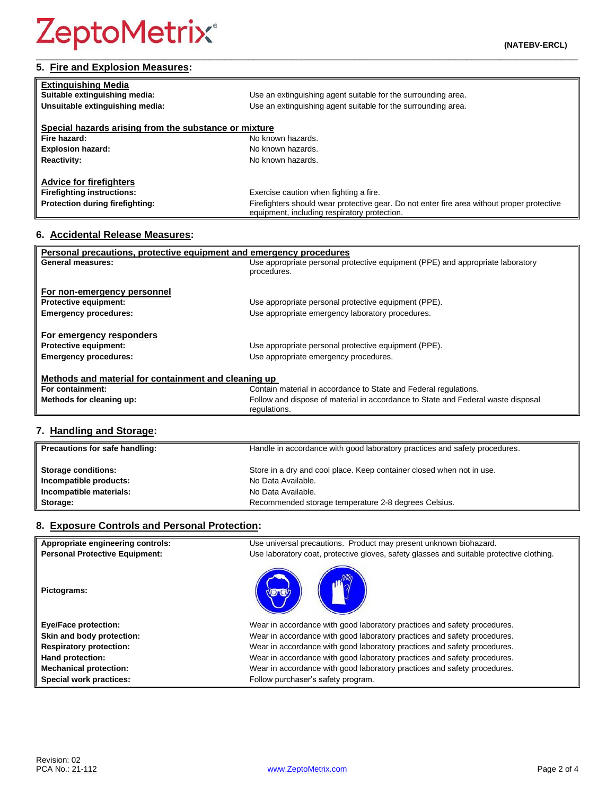| <b>Extinguishing Media</b>                            |                                                                                                                                            |
|-------------------------------------------------------|--------------------------------------------------------------------------------------------------------------------------------------------|
| Suitable extinguishing media:                         | Use an extinguishing agent suitable for the surrounding area.                                                                              |
| Unsuitable extinguishing media:                       | Use an extinguishing agent suitable for the surrounding area.                                                                              |
| Special hazards arising from the substance or mixture |                                                                                                                                            |
| Fire hazard:                                          | No known hazards.                                                                                                                          |
| <b>Explosion hazard:</b>                              | No known hazards.                                                                                                                          |
| <b>Reactivity:</b>                                    | No known hazards.                                                                                                                          |
| <b>Advice for firefighters</b>                        |                                                                                                                                            |
| <b>Firefighting instructions:</b>                     | Exercise caution when fighting a fire.                                                                                                     |
| Protection during firefighting:                       | Firefighters should wear protective gear. Do not enter fire area without proper protective<br>equipment, including respiratory protection. |

## **6. Accidental Release Measures:**

| Personal precautions, protective equipment and emergency procedures                      |                                                                                               |  |
|------------------------------------------------------------------------------------------|-----------------------------------------------------------------------------------------------|--|
| General measures:                                                                        | Use appropriate personal protective equipment (PPE) and appropriate laboratory<br>procedures. |  |
| For non-emergency personnel                                                              |                                                                                               |  |
| <b>Protective equipment:</b>                                                             | Use appropriate personal protective equipment (PPE).                                          |  |
| <b>Emergency procedures:</b>                                                             | Use appropriate emergency laboratory procedures.                                              |  |
| For emergency responders<br><b>Protective equipment:</b><br><b>Emergency procedures:</b> | Use appropriate personal protective equipment (PPE).<br>Use appropriate emergency procedures. |  |
| Methods and material for containment and cleaning up                                     |                                                                                               |  |
| For containment:                                                                         | Contain material in accordance to State and Federal regulations.                              |  |
| Methods for cleaning up:                                                                 | Follow and dispose of material in accordance to State and Federal waste disposal              |  |
|                                                                                          | regulations.                                                                                  |  |

## **7. Handling and Storage:**

| Precautions for safe handling: | Handle in accordance with good laboratory practices and safety procedures. |
|--------------------------------|----------------------------------------------------------------------------|
| <b>Storage conditions:</b>     | Store in a dry and cool place. Keep container closed when not in use.      |
| Incompatible products:         | No Data Available.                                                         |
| Incompatible materials:        | No Data Available.                                                         |
| Storage:                       | Recommended storage temperature 2-8 degrees Celsius.                       |

### **8. Exposure Controls and Personal Protection:**

| Appropriate engineering controls:     | Use universal precautions. Product may present unknown biohazard.                        |
|---------------------------------------|------------------------------------------------------------------------------------------|
| <b>Personal Protective Equipment:</b> | Use laboratory coat, protective gloves, safety glasses and suitable protective clothing. |
| Pictograms:                           |                                                                                          |
| <b>Eye/Face protection:</b>           | Wear in accordance with good laboratory practices and safety procedures.                 |
| Skin and body protection:             | Wear in accordance with good laboratory practices and safety procedures.                 |
| <b>Respiratory protection:</b>        | Wear in accordance with good laboratory practices and safety procedures.                 |
| Hand protection:                      | Wear in accordance with good laboratory practices and safety procedures.                 |
| <b>Mechanical protection:</b>         | Wear in accordance with good laboratory practices and safety procedures.                 |
| Special work practices:               | Follow purchaser's safety program.                                                       |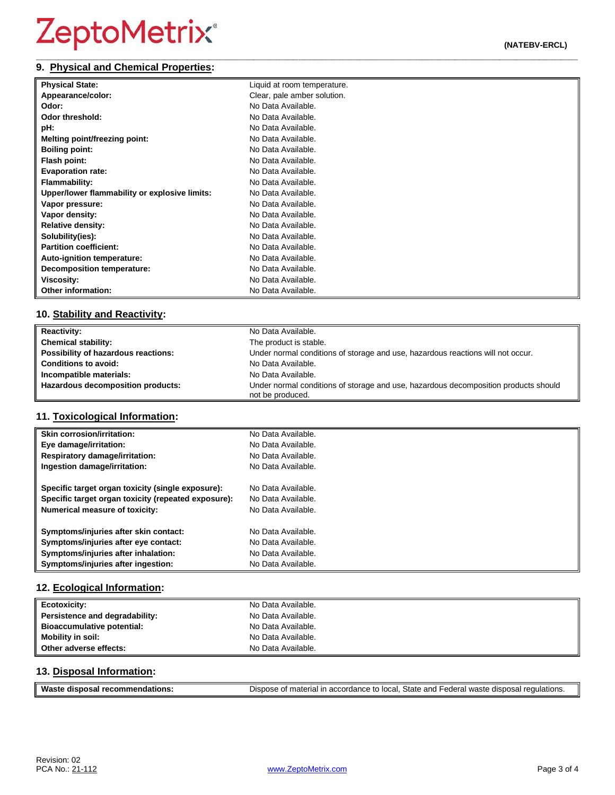#### **\_\_\_\_\_\_\_\_\_\_\_\_\_\_\_\_\_\_\_\_\_\_\_\_\_\_\_\_\_\_\_\_\_\_\_\_\_\_\_\_\_\_\_\_\_\_\_\_\_\_\_\_\_\_\_\_\_\_\_\_\_\_\_\_\_\_\_\_\_\_\_\_\_\_\_\_\_\_\_\_\_\_\_\_\_\_\_\_\_\_\_\_\_\_\_\_\_ 9. Physical and Chemical Properties:**

| <b>Physical State:</b>                        | Liquid at room temperature. |
|-----------------------------------------------|-----------------------------|
| Appearance/color:                             | Clear, pale amber solution. |
| Odor:                                         | No Data Available.          |
| Odor threshold:                               | No Data Available.          |
| pH:                                           | No Data Available.          |
| Melting point/freezing point:                 | No Data Available.          |
| <b>Boiling point:</b>                         | No Data Available.          |
| Flash point:                                  | No Data Available.          |
| <b>Evaporation rate:</b>                      | No Data Available.          |
| <b>Flammability:</b>                          | No Data Available.          |
| Upper/lower flammability or explosive limits: | No Data Available.          |
| Vapor pressure:                               | No Data Available.          |
| Vapor density:                                | No Data Available.          |
| <b>Relative density:</b>                      | No Data Available.          |
| Solubility(ies):                              | No Data Available.          |
| <b>Partition coefficient:</b>                 | No Data Available.          |
| Auto-ignition temperature:                    | No Data Available.          |
| Decomposition temperature:                    | No Data Available.          |
| Viscosity:                                    | No Data Available.          |
| <b>Other information:</b>                     | No Data Available.          |

### **10. Stability and Reactivity:**

| <b>Reactivity:</b>                  | No Data Available.                                                                                      |
|-------------------------------------|---------------------------------------------------------------------------------------------------------|
| <b>Chemical stability:</b>          | The product is stable.                                                                                  |
| Possibility of hazardous reactions: | Under normal conditions of storage and use, hazardous reactions will not occur.                         |
| <b>Conditions to avoid:</b>         | No Data Available.                                                                                      |
| Incompatible materials:             | No Data Available.                                                                                      |
| Hazardous decomposition products:   | Under normal conditions of storage and use, hazardous decomposition products should<br>not be produced. |

### **11. Toxicological Information:**

| <b>Skin corrosion/irritation:</b>                   | No Data Available. |
|-----------------------------------------------------|--------------------|
| Eye damage/irritation:                              | No Data Available. |
| <b>Respiratory damage/irritation:</b>               | No Data Available. |
| Ingestion damage/irritation:                        | No Data Available. |
| Specific target organ toxicity (single exposure):   | No Data Available. |
| Specific target organ toxicity (repeated exposure): | No Data Available. |
| <b>Numerical measure of toxicity:</b>               | No Data Available. |
| Symptoms/injuries after skin contact:               | No Data Available. |
| Symptoms/injuries after eye contact:                | No Data Available. |
| Symptoms/injuries after inhalation:                 | No Data Available. |
| Symptoms/injuries after ingestion:                  | No Data Available. |

### **12. Ecological Information:**

| <b>Ecotoxicity:</b>            | No Data Available. |
|--------------------------------|--------------------|
| Persistence and degradability: | No Data Available. |
| Bioaccumulative potential:     | No Data Available. |
| <b>Mobility in soil:</b>       | No Data Available. |
| Other adverse effects:         | No Data Available. |

#### **13. Disposal Information:**

| Waste<br>recommendations:<br>disposal | Dispose of material in accordance to local, State and Federal waste disposal regulations. |
|---------------------------------------|-------------------------------------------------------------------------------------------|
|                                       |                                                                                           |